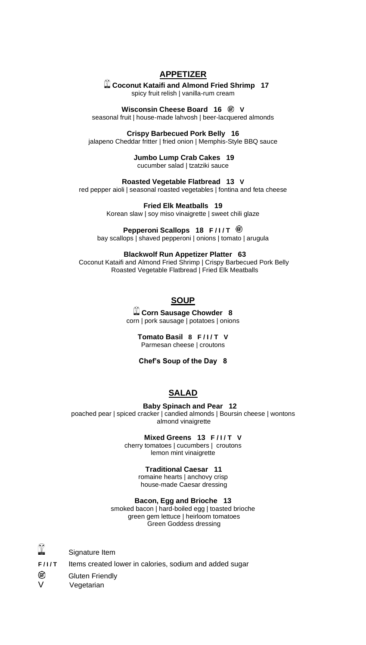## **APPETIZER**

**Coconut Kataifi and Almond Fried Shrimp 17**

spicy fruit relish | vanilla-rum cream

## **Wisconsin Cheese Board 16 V**

seasonal fruit | house-made lahvosh | beer-lacquered almonds

### **Crispy Barbecued Pork Belly 16**

jalapeno Cheddar fritter | fried onion | Memphis-Style BBQ sauce

### **Jumbo Lump Crab Cakes 19**

cucumber salad | tzatziki sauce

### **Roasted Vegetable Flatbread 13 V**

red pepper aioli | seasonal roasted vegetables | fontina and feta cheese

### **Fried Elk Meatballs 19**

Korean slaw | soy miso vinaigrette | sweet chili glaze

## **Pepperoni Scallops 18 F/I/T**  $\circledast$

bay scallops | shaved pepperoni | onions | tomato | arugula

### **Blackwolf Run Appetizer Platter 63**

Coconut Kataifi and Almond Fried Shrimp | Crispy Barbecued Pork Belly Roasted Vegetable Flatbread | Fried Elk Meatballs

# **SOUP**

**Corn Sausage Chowder 8** corn | pork sausage | potatoes | onions

### **Tomato Basil 8 F/I/T V** Parmesan cheese | croutons

**Chef's Soup of the Day 8**

# **SALAD**

### **Baby Spinach and Pear 12**

poached pear | spiced cracker | candied almonds | Boursin cheese | wontons almond vinaigrette

### **Mixed Greens 13 F/I/T V**

cherry tomatoes | cucumbers | croutons lemon mint vinaigrette

## **Traditional Caesar 11**

romaine hearts | anchovy crisp house-made Caesar dressing

## **Bacon, Egg and Brioche 13**

smoked bacon | hard-boiled egg | toasted brioche green gem lettuce | heirloom tomatoes Green Goddess dressing

- Y Signature Item
- **F/I/T** Items created lower in calories, sodium and added sugar
- œ Gluten Friendly

V Vegetarian